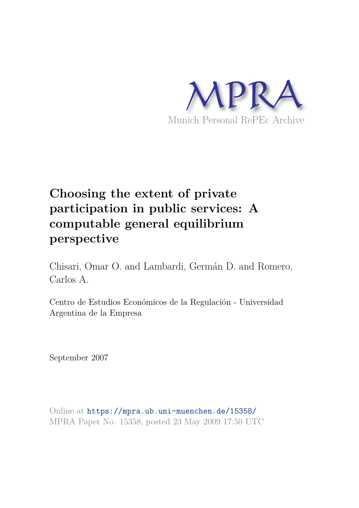

# **Choosing the extent of private participation in public services: A computable general equilibrium perspective**

Chisari, Omar O. and Lambardi, Germán D. and Romero, Carlos A.

Centro de Estudios Económicos de la Regulación - Universidad Argentina de la Empresa

September 2007

Online at https://mpra.ub.uni-muenchen.de/15358/ MPRA Paper No. 15358, posted 23 May 2009 17:50 UTC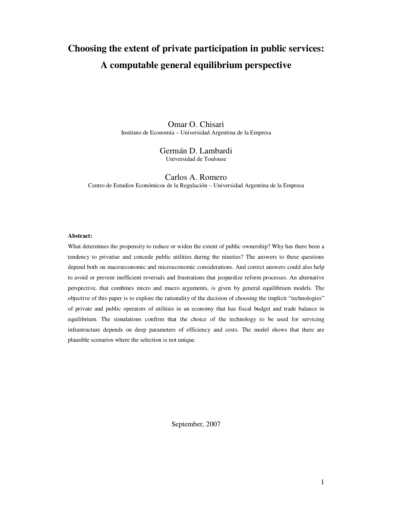## **Choosing the extent of private participation in public services: A computable general equilibrium perspective**

Omar O. Chisari Instituto de Economía – Universidad Argentina de la Empresa

#### Germán D. Lambardi Universidad de Toulouse

Carlos A. Romero Centro de Estudios Económicos de la Regulación – Universidad Argentina de la Empresa

#### **Abstract:**

What determines the propensity to reduce or widen the extent of public ownership? Why has there been a tendency to privatise and concede public utilities during the nineties? The answers to these questions depend both on macroeconomic and microeconomic considerations. And correct answers could also help to avoid or prevent inefficient reversals and frustrations that jeopardize reform processes. An alternative perspective, that combines micro and macro arguments, is given by general equilibrium models. The objective of this paper is to explore the rationality of the decision of choosing the implicit "technologies" of private and public operators of utilities in an economy that has fiscal budget and trade balance in equilibrium. The simulations confirm that the choice of the technology to be used for servicing infrastructure depends on deep parameters of efficiency and costs. The model shows that there are plausible scenarios where the selection is not unique.

September, 2007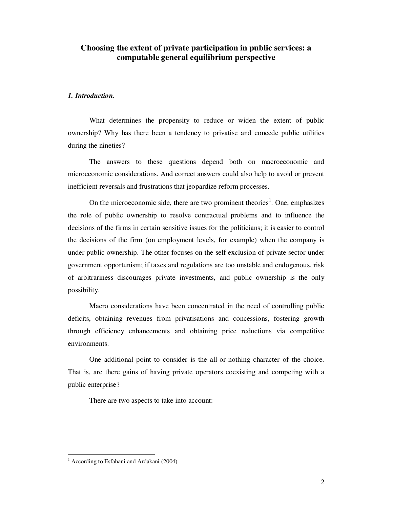### **Choosing the extent of private participation in public services: a computable general equilibrium perspective**

#### *1. Introduction.*

What determines the propensity to reduce or widen the extent of public ownership? Why has there been a tendency to privatise and concede public utilities during the nineties?

The answers to these questions depend both on macroeconomic and microeconomic considerations. And correct answers could also help to avoid or prevent inefficient reversals and frustrations that jeopardize reform processes.

On the microeconomic side, there are two prominent theories<sup>1</sup>. One, emphasizes the role of public ownership to resolve contractual problems and to influence the decisions of the firms in certain sensitive issues for the politicians; it is easier to control the decisions of the firm (on employment levels, for example) when the company is under public ownership. The other focuses on the self exclusion of private sector under government opportunism; if taxes and regulations are too unstable and endogenous, risk of arbitrariness discourages private investments, and public ownership is the only possibility.

Macro considerations have been concentrated in the need of controlling public deficits, obtaining revenues from privatisations and concessions, fostering growth through efficiency enhancements and obtaining price reductions via competitive environments.

One additional point to consider is the all-or-nothing character of the choice. That is, are there gains of having private operators coexisting and competing with a public enterprise?

There are two aspects to take into account:

 1 According to Esfahani and Ardakani (2004).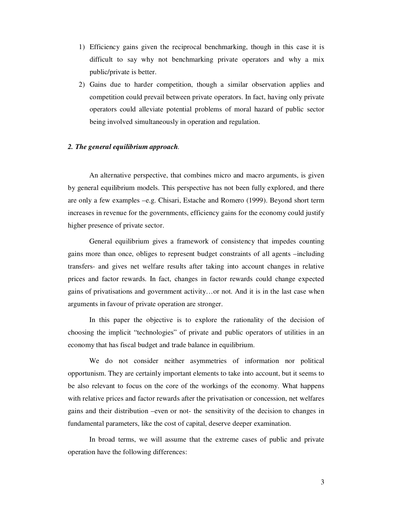- 1) Efficiency gains given the reciprocal benchmarking, though in this case it is difficult to say why not benchmarking private operators and why a mix public/private is better.
- 2) Gains due to harder competition, though a similar observation applies and competition could prevail between private operators. In fact, having only private operators could alleviate potential problems of moral hazard of public sector being involved simultaneously in operation and regulation.

#### *2. The general equilibrium approach.*

An alternative perspective, that combines micro and macro arguments, is given by general equilibrium models. This perspective has not been fully explored, and there are only a few examples –e.g. Chisari, Estache and Romero (1999). Beyond short term increases in revenue for the governments, efficiency gains for the economy could justify higher presence of private sector.

General equilibrium gives a framework of consistency that impedes counting gains more than once, obliges to represent budget constraints of all agents –including transfers- and gives net welfare results after taking into account changes in relative prices and factor rewards. In fact, changes in factor rewards could change expected gains of privatisations and government activity…or not. And it is in the last case when arguments in favour of private operation are stronger.

In this paper the objective is to explore the rationality of the decision of choosing the implicit "technologies" of private and public operators of utilities in an economy that has fiscal budget and trade balance in equilibrium.

We do not consider neither asymmetries of information nor political opportunism. They are certainly important elements to take into account, but it seems to be also relevant to focus on the core of the workings of the economy. What happens with relative prices and factor rewards after the privatisation or concession, net welfares gains and their distribution –even or not- the sensitivity of the decision to changes in fundamental parameters, like the cost of capital, deserve deeper examination.

In broad terms, we will assume that the extreme cases of public and private operation have the following differences: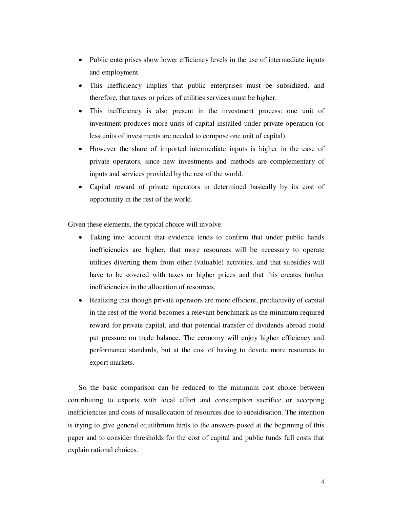- Public enterprises show lower efficiency levels in the use of intermediate inputs and employment.
- This inefficiency implies that public enterprises must be subsidized, and therefore, that taxes or prices of utilities services must be higher.
- This inefficiency is also present in the investment process: one unit of investment produces more units of capital installed under private operation (or less units of investments are needed to compose one unit of capital).
- However the share of imported intermediate inputs is higher in the case of private operators, since new investments and methods are complementary of inputs and services provided by the rest of the world.
- Capital reward of private operators in determined basically by its cost of opportunity in the rest of the world.

Given these elements, the typical choice will involve:

- Taking into account that evidence tends to confirm that under public hands inefficiencies are higher, that more resources will be necessary to operate utilities diverting them from other (valuable) activities, and that subsidies will have to be covered with taxes or higher prices and that this creates further inefficiencies in the allocation of resources.
- Realizing that though private operators are more efficient, productivity of capital in the rest of the world becomes a relevant benchmark as the minimum required reward for private capital, and that potential transfer of dividends abroad could put pressure on trade balance. The economy will enjoy higher efficiency and performance standards, but at the cost of having to devote more resources to export markets.

So the basic comparison can be reduced to the minimum cost choice between contributing to exports with local effort and consumption sacrifice or accepting inefficiencies and costs of misallocation of resources due to subsidisation. The intention is trying to give general equilibrium hints to the answers posed at the beginning of this paper and to consider thresholds for the cost of capital and public funds full costs that explain rational choices.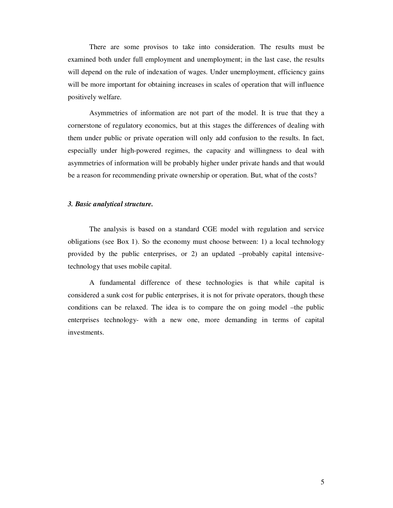There are some provisos to take into consideration. The results must be examined both under full employment and unemployment; in the last case, the results will depend on the rule of indexation of wages. Under unemployment, efficiency gains will be more important for obtaining increases in scales of operation that will influence positively welfare.

Asymmetries of information are not part of the model. It is true that they a cornerstone of regulatory economics, but at this stages the differences of dealing with them under public or private operation will only add confusion to the results. In fact, especially under high-powered regimes, the capacity and willingness to deal with asymmetries of information will be probably higher under private hands and that would be a reason for recommending private ownership or operation. But, what of the costs?

#### *3. Basic analytical structure.*

The analysis is based on a standard CGE model with regulation and service obligations (see Box 1). So the economy must choose between: 1) a local technology provided by the public enterprises, or 2) an updated –probably capital intensivetechnology that uses mobile capital.

A fundamental difference of these technologies is that while capital is considered a sunk cost for public enterprises, it is not for private operators, though these conditions can be relaxed. The idea is to compare the on going model –the public enterprises technology- with a new one, more demanding in terms of capital investments.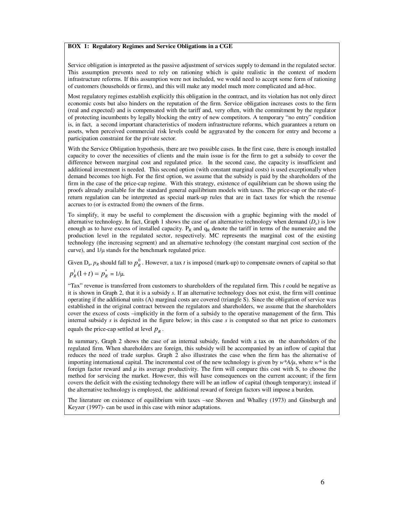#### **BOX 1: Regulatory Regimes and Service Obligations in a CGE**

Service obligation is interpreted as the passive adjustment of services supply to demand in the regulated sector. This assumption prevents need to rely on rationing which is quite realistic in the context of modern infrastructure reforms. If this assumption were not included, we would need to accept some form of rationing of customers (households or firms), and this will make any model much more complicated and ad-hoc.

Most regulatory regimes establish explicitly this obligation in the contract, and its violation has not only direct economic costs but also hinders on the reputation of the firm. Service obligation increases costs to the firm (real and expected) and is compensated with the tariff and, very often, with the commitment by the regulator of protecting incumbents by legally blocking the entry of new competitors. A temporary "no entry" condition is, in fact, a second important characteristics of modern infrastructure reforms, which guarantees a return on assets, when perceived commercial risk levels could be aggravated by the concern for entry and become a participation constraint for the private sector.

With the Service Obligation hypothesis, there are two possible cases. In the first case, there is enough installed capacity to cover the necessities of clients and the main issue is for the firm to get a subsidy to cover the difference between marginal cost and regulated price. In the second case, the capacity is insufficient and additional investment is needed. This second option (with constant marginal costs) is used exceptionally when demand becomes too high. For the first option, we assume that the subsidy is paid by the shareholders of the firm in the case of the price-cap regime. With this strategy, existence of equilibrium can be shown using the proofs already available for the standard general equilibrium models with taxes. The price-cap or the rate-ofreturn regulation can be interpreted as special mark-up rules that are in fact taxes for which the revenue accrues to (or is extracted from) the owners of the firms.

To simplify, it may be useful to complement the discussion with a graphic beginning with the model of alternative technology. In fact, Graph 1 shows the case of an alternative technology when demand  $(D_a)$  is low enough as to have excess of installed capacity.  $P_R$  and  $q_R$  denote the tariff in terms of the numeraire and the production level in the regulated sector, respectively. MC represents the marginal cost of the existing technology (the increasing segment) and an alternative technology (the constant marginal cost section of the curve), and  $1/\mu$  stands for the benchmark regulated price.

Given  $D_a$ ,  $p_R$  should fall to  $p_R^0$ . However, a tax *t* is imposed (mark-up) to compensate owners of capital so that

$$
p_R^1(1+t) = p_R^* = 1/\mu.
$$

"Tax" revenue is transferred from customers to shareholders of the regulated firm. This *t* could be negative as it is shown in Graph 2, that it is a subsidy *s*. If an alternative technology does not exist, the firm will continue operating if the additional units (A) marginal costs are covered (triangle S). Since the obligation of service was established in the original contract between the regulators and shareholders, we assume that the shareholders cover the excess of costs –implicitly in the form of a subsidy to the operative management of the firm. This internal subsidy *s* is depicted in the figure below; in this case *s* is computed so that net price to customers equals the price-cap settled at level  $p_R$ .

In summary, Graph 2 shows the case of an internal subsidy, funded with a tax on the shareholders of the regulated firm. When shareholders are foreign, this subsidy will be accompanied by an inflow of capital that reduces the need of trade surplus. Graph 2 also illustrates the case when the firm has the alternative of importing international capital. The incremental cost of the new technology is given by *w\*A/µ*, where *w\** is the foreign factor reward and  $\mu$  its average productivity. The firm will compare this cost with S, to choose the method for servicing the market. However, this will have consequences on the current account; if the firm covers the deficit with the existing technology there will be an inflow of capital (though temporary); instead if the alternative technology is employed, the additional reward of foreign factors will impose a burden.

The literature on existence of equilibrium with taxes –see Shoven and Whalley (1973) and Ginsburgh and Keyzer (1997)- can be used in this case with minor adaptations.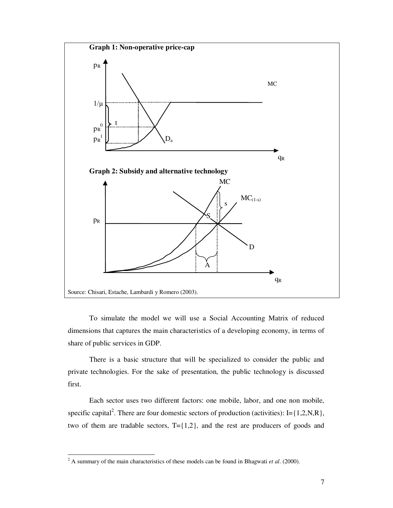

To simulate the model we will use a Social Accounting Matrix of reduced dimensions that captures the main characteristics of a developing economy, in terms of share of public services in GDP.

There is a basic structure that will be specialized to consider the public and private technologies. For the sake of presentation, the public technology is discussed first.

Each sector uses two different factors: one mobile, labor, and one non mobile, specific capital<sup>2</sup>. There are four domestic sectors of production (activities): I= $\{1,2,N,R\}$ , two of them are tradable sectors,  $T = \{1,2\}$ , and the rest are producers of goods and

<sup>&</sup>lt;sup>2</sup> A summary of the main characteristics of these models can be found in Bhagwati *et al.* (2000).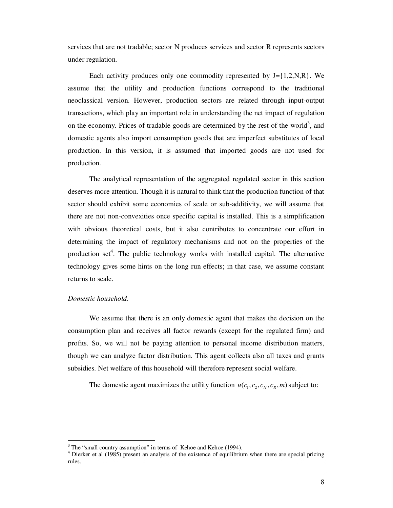services that are not tradable; sector N produces services and sector R represents sectors under regulation.

Each activity produces only one commodity represented by  $J = \{1, 2, N, R\}$ . We assume that the utility and production functions correspond to the traditional neoclassical version. However, production sectors are related through input-output transactions, which play an important role in understanding the net impact of regulation on the economy. Prices of tradable goods are determined by the rest of the world<sup>3</sup>, and domestic agents also import consumption goods that are imperfect substitutes of local production. In this version, it is assumed that imported goods are not used for production.

The analytical representation of the aggregated regulated sector in this section deserves more attention. Though it is natural to think that the production function of that sector should exhibit some economies of scale or sub-additivity, we will assume that there are not non-convexities once specific capital is installed. This is a simplification with obvious theoretical costs, but it also contributes to concentrate our effort in determining the impact of regulatory mechanisms and not on the properties of the production set<sup>4</sup>. The public technology works with installed capital. The alternative technology gives some hints on the long run effects; in that case, we assume constant returns to scale.

#### *Domestic household.*

 $\overline{a}$ 

We assume that there is an only domestic agent that makes the decision on the consumption plan and receives all factor rewards (except for the regulated firm) and profits. So, we will not be paying attention to personal income distribution matters, though we can analyze factor distribution. This agent collects also all taxes and grants subsidies. Net welfare of this household will therefore represent social welfare.

The domestic agent maximizes the utility function  $u(c_1, c_2, c_N, c_R, m)$  subject to:

 $3$  The "small country assumption" in terms of Kehoe and Kehoe (1994).

<sup>&</sup>lt;sup>4</sup> Dierker et al (1985) present an analysis of the existence of equilibrium when there are special pricing rules.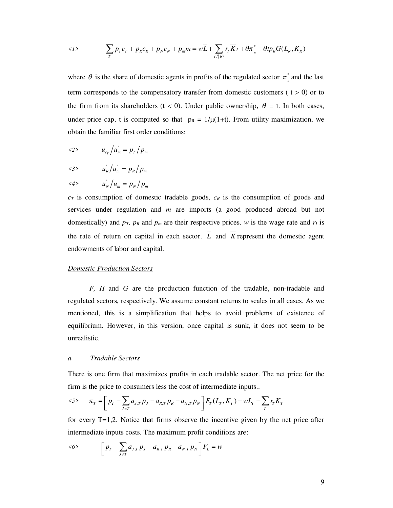$$
\langle 1 \rangle \qquad \sum_{T} p_T c_T + p_R c_R + p_N c_N + p_m m = w \overline{L} + \sum_{I \neq [R]} r_I \overline{K}_I + \theta \pi^*_{\scriptscriptstyle R} + \theta t p_R G(L_{\scriptscriptstyle R}, K_{\scriptscriptstyle R})
$$

where  $\theta$  is the share of domestic agents in profits of the regulated sector  $\pi^*_{R}$  and the last term corresponds to the compensatory transfer from domestic customers ( $t > 0$ ) or to the firm from its shareholders (t < 0). Under public ownership,  $\theta = 1$ . In both cases, under price cap, t is computed so that  $p_R = 1/\mu(1+t)$ . From utility maximization, we obtain the familiar first order conditions:

- $\langle 2 \rangle$   $u_{c_T} / u_m = p_T / p_m$
- $\langle 3 \rangle$   $u_R / u_m = p_R / p_m$

$$
\langle 4 \rangle \t u_N / u_m = p_N / p_m
$$

*cT* is consumption of domestic tradable goods, *cR* is the consumption of goods and services under regulation and *m* are imports (a good produced abroad but not domestically) and  $p_T$ ,  $p_R$  and  $p_m$  are their respective prices. *w* is the wage rate and  $r_I$  is the rate of return on capital in each sector.  $\overline{L}$  and  $\overline{K}$  represent the domestic agent endowments of labor and capital.

#### *Domestic Production Sectors*

*F, H* and *G* are the production function of the tradable, non-tradable and regulated sectors, respectively. We assume constant returns to scales in all cases. As we mentioned, this is a simplification that helps to avoid problems of existence of equilibrium. However, in this version, once capital is sunk, it does not seem to be unrealistic.

#### *a. Tradable Sectors*

There is one firm that maximizes profits in each tradable sector. The net price for the firm is the price to consumers less the cost of intermediate inputs..

$$
\langle 5 \rangle \qquad \pi_T = \left[ p_T - \sum_{J \neq T} a_{J,T} p_J - a_{R,T} p_R - a_{N,T} p_N \right] F_T(L_T, K_T) - w L_T - \sum_{T} r_T K_T
$$

for every T=1,2. Notice that firms observe the incentive given by the net price after intermediate inputs costs. The maximum profit conditions are:

$$
\langle 6 \rangle \qquad \left[ p_T - \sum_{J \neq T} a_{J,T} p_J - a_{R,T} p_R - a_{N,T} p_N \right] F_L = w
$$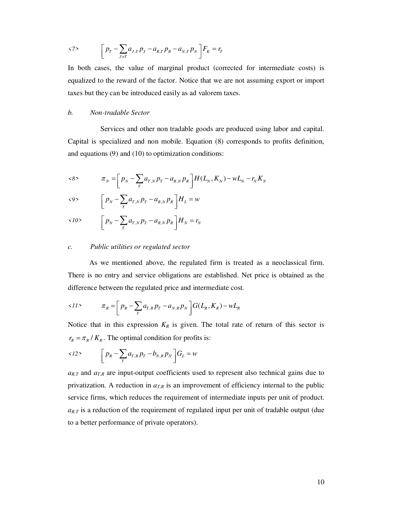$$
\langle 7 \rangle \qquad \left[ p_T - \sum_{J \neq T} a_{J,T} p_J - a_{R,T} p_R - a_{N,T} p_N \right] F_K = r_T
$$

In both cases, the value of marginal product (corrected for intermediate costs) is equalized to the reward of the factor. Notice that we are not assuming export or import taxes but they can be introduced easily as ad valorem taxes.

#### *b. Non-tradable Sector*

 Services and other non tradable goods are produced using labor and capital. Capital is specialized and non mobile. Equation (8) corresponds to profits definition, and equations (9) and (10) to optimization conditions:

$$
\kappa_8 \times \pi_N = \left[ p_N - \sum_{T} a_{T,N} p_T - a_{R,N} p_R \right] H(L_N, K_N) - w L_N - r_N K_N
$$

$$
\langle 9 \rangle \qquad \left[ p_N - \sum_{T} a_{T,N} p_T - a_{R,N} p_R \right] H_L = w
$$

$$
\langle 10 \rangle \qquad \left[ p_N - \sum_T a_{T,N} p_T - a_{R,N} p_R \right] H_N = r_N
$$

#### *c. Public utilities or regulated sector*

As we mentioned above, the regulated firm is treated as a neoclassical firm. There is no entry and service obligations are established. Net price is obtained as the difference between the regulated price and intermediate cost.

$$
\langle 11 \rangle \qquad \qquad \pi_R = \left[ p_R - \sum_{T} a_{T,R} p_T - a_{N,R} p_N \right] G(L_R, K_R) - w L_R
$$

Notice that in this expression  $K_R$  is given. The total rate of return of this sector is  $r_R = \pi_R / K_R$ . The optimal condition for profits is:

$$
\langle 12 \rangle \qquad \left[ p_R - \sum_T a_{T,R} p_T - b_{N,R} p_N \right] G_L = w
$$

 $a_{R,T}$  and  $a_{T,R}$  are input-output coefficients used to represent also technical gains due to privatization. A reduction in  $a_{TR}$  is an improvement of efficiency internal to the public service firms, which reduces the requirement of intermediate inputs per unit of product.  $a_{R,T}$  is a reduction of the requirement of regulated input per unit of tradable output (due to a better performance of private operators).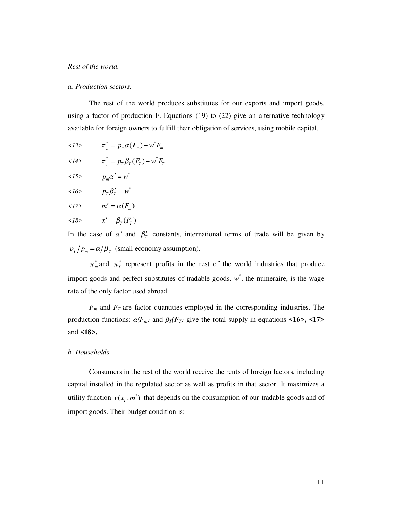#### *Rest of the world.*

#### *a. Production sectors.*

The rest of the world produces substitutes for our exports and import goods, using a factor of production F. Equations (19) to (22) give an alternative technology available for foreign owners to fulfill their obligation of services, using mobile capital.

- $\langle 13 \rangle$   $\pi_{m}^{*} = p_{m} \alpha(F_{m}) w^{*} F_{m}$  $\langle 14 \rangle$   $\pi_{T}^{*} = p_{T} \beta_{T} (F_{T}) - w^{*} F_{T}$  $\langle 15 \rangle$   $p_m \alpha' = w^*$  $\langle 16 \rangle$   $p_T \beta'_T = w^*$
- $\langle 17 \rangle$   $m^s = \alpha(F_m)$

$$
\langle 18 \rangle \qquad \qquad x^s = \beta_T(F_T)
$$

In the case of  $\alpha'$  and  $\beta'$  constants, international terms of trade will be given by  $p_T / p_m = \alpha / \beta_T$  (small economy assumption).

 $\pi_m^*$  and  $\pi_T^*$  represent profits in the rest of the world industries that produce import goods and perfect substitutes of tradable goods.  $w^*$ , the numeraire, is the wage rate of the only factor used abroad.

*Fm* and *FT* are factor quantities employed in the corresponding industries. The production functions:  $\alpha(F_m)$  and  $\beta_T(F_T)$  give the total supply in equations **<16>, <17>** and **<18>.** 

#### *b. Households*

Consumers in the rest of the world receive the rents of foreign factors, including capital installed in the regulated sector as well as profits in that sector. It maximizes a utility function  $v(x_T, m^*)$  that depends on the consumption of our tradable goods and of import goods. Their budget condition is: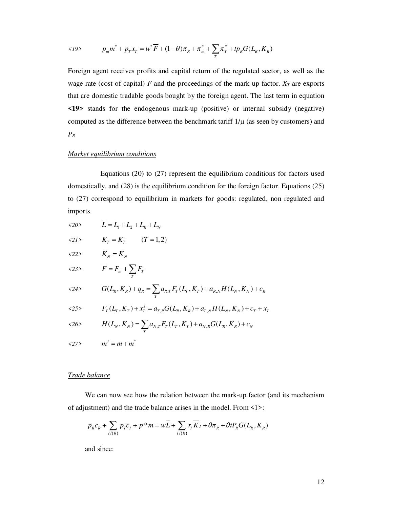$$
\langle 19 \rangle \t p_m m^* + p_T x_T = w^* \overline{F} + (1 - \theta) \pi_R + \pi_m^* + \sum_T \pi_T^* + tp_R G(L_R, K_R)
$$

Foreign agent receives profits and capital return of the regulated sector, as well as the wage rate (cost of capital)  $F$  and the proceedings of the mark-up factor.  $X_T$  are exports that are domestic tradable goods bought by the foreign agent. The last term in equation **<19>** stands for the endogenous mark-up (positive) or internal subsidy (negative) computed as the difference between the benchmark tariff  $1/\mu$  (as seen by customers) and *PR*

#### *Market equilibrium conditions*

 Equations (20) to (27) represent the equilibrium conditions for factors used domestically, and (28) is the equilibrium condition for the foreign factor. Equations (25) to (27) correspond to equilibrium in markets for goods: regulated, non regulated and imports.

| $\langle 20 \rangle$ | $L = L_1 + L_2 + L_{R} + L_{N}$                                                 |
|----------------------|---------------------------------------------------------------------------------|
| $\langle 21 \rangle$ | $\bar{K}_{T} = K_{T}$ (T = 1, 2)                                                |
| 22                   | $\overline{K}_N = K_N$                                                          |
| <23>                 | $\overline{F} = F_m + \sum_{T} F_T$                                             |
| $\langle 24 \rangle$ | $G(L_R, K_R) + q_R = \sum a_{R,T} F_T(L_T, K_T) + a_{R,N} H(L_N, K_N) + c_R$    |
| <25>                 | $F_T(L_T, K_T) + x_T^s = a_{T,R} G(L_R, K_R) + a_{T,N} H(L_N, K_N) + c_T + x_T$ |
| $\langle 26 \rangle$ | $H(L_N, K_N) = \sum a_{N,T} F_T(L_T, K_T) + a_{N,R} G(L_R, K_R) + c_N$          |
| <27>                 | $m^s = m + m^*$                                                                 |

#### *Trade balance*

We can now see how the relation between the mark-up factor (and its mechanism of adjustment) and the trade balance arises in the model. From <1>:

$$
p_{\scriptscriptstyle R} c_{\scriptscriptstyle R} + \sum_{I/\{\scriptscriptstyle R\}} p_{\scriptscriptstyle I} c_{\scriptscriptstyle I} + p^* m = w \overline{L} + \sum_{I/\{\scriptscriptstyle R\}} r_{\scriptscriptstyle I} \overline{K}_{\scriptscriptstyle I} + \theta \pi_{\scriptscriptstyle R} + \theta t P_{\scriptscriptstyle R} G(L_{\scriptscriptstyle R}, K_{\scriptscriptstyle R})
$$

and since: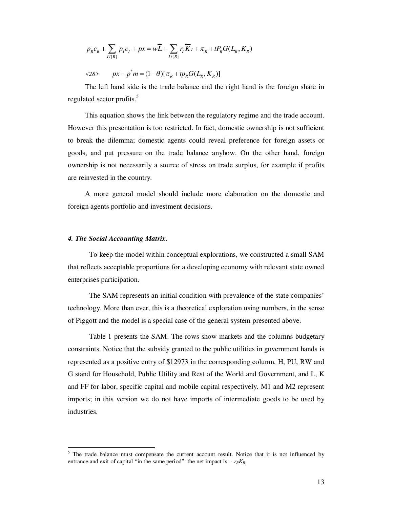$$
p_{R}c_{R} + \sum_{I\{R\}} p_{I}c_{I} + px = w\overline{L} + \sum_{I\{R\}} r_{I}\overline{K}_{I} + \pi_{R} + tP_{R}G(L_{R}, K_{R})
$$

$$
\langle 28 \rangle \qquad px - p^* m = (1 - \theta) [\pi_R + tp_R G(L_R, K_R)]
$$

The left hand side is the trade balance and the right hand is the foreign share in regulated sector profits.<sup>5</sup>

This equation shows the link between the regulatory regime and the trade account. However this presentation is too restricted. In fact, domestic ownership is not sufficient to break the dilemma; domestic agents could reveal preference for foreign assets or goods, and put pressure on the trade balance anyhow. On the other hand, foreign ownership is not necessarily a source of stress on trade surplus, for example if profits are reinvested in the country.

A more general model should include more elaboration on the domestic and foreign agents portfolio and investment decisions.

#### *4. The Social Accounting Matrix.*

 $\overline{a}$ 

 To keep the model within conceptual explorations, we constructed a small SAM that reflects acceptable proportions for a developing economy with relevant state owned enterprises participation.

 The SAM represents an initial condition with prevalence of the state companies' technology. More than ever, this is a theoretical exploration using numbers, in the sense of Piggott and the model is a special case of the general system presented above.

 Table 1 presents the SAM. The rows show markets and the columns budgetary constraints. Notice that the subsidy granted to the public utilities in government hands is represented as a positive entry of \$12973 in the corresponding column. H, PU, RW and G stand for Household, Public Utility and Rest of the World and Government, and L, K and FF for labor, specific capital and mobile capital respectively. M1 and M2 represent imports; in this version we do not have imports of intermediate goods to be used by industries.

 $<sup>5</sup>$  The trade balance must compensate the current account result. Notice that it is not influenced by</sup> entrance and exit of capital "in the same period": the net impact is:  $- r_R K_R$ .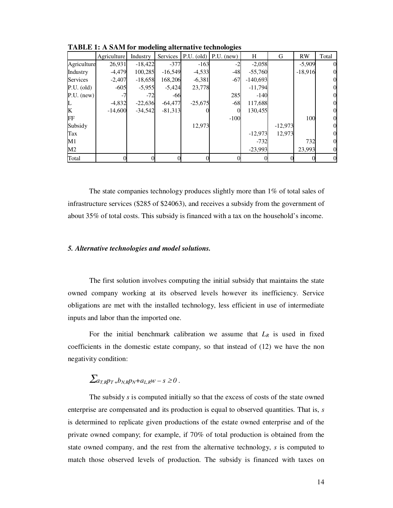|                | Agriculture | Industry  | o<br>Services |           | $\bullet$<br>$PLU. (old)$ P.U. (new) | H          | G         | <b>RW</b> | Total |
|----------------|-------------|-----------|---------------|-----------|--------------------------------------|------------|-----------|-----------|-------|
| Agriculture    | 26,931      | $-18,422$ | $-377$        | $-163$    |                                      | $-2,058$   |           | $-5,909$  |       |
| Industry       | $-4,479$    | 100,285   | $-16,549$     | $-4,533$  | $-48$                                | $-55,760$  |           | $-18,916$ |       |
| Services       | $-2,407$    | $-18,658$ | 168,206       | $-6,381$  | $-67$                                | $-140,693$ |           |           |       |
| $P.U.$ (old)   | $-605$      | $-5,955$  | $-5,424$      | 23,778    |                                      | $-11,794$  |           |           |       |
| $P.U.$ (new)   | $-7$        | $-72$     | $-66$         |           | 285                                  | $-140$     |           |           |       |
|                | $-4,832$    | $-22,636$ | $-64,477$     | $-25,675$ | $-68$                                | 117,688    |           |           |       |
| K              | $-14,600$   | $-34,542$ | $-81,313$     |           | $\Omega$                             | 130,455    |           |           |       |
| FF             |             |           |               |           | $-100$                               |            |           | 100       |       |
| Subsidy        |             |           |               | 12,973    |                                      |            | $-12,973$ |           |       |
| Tax            |             |           |               |           |                                      | $-12,973$  | 12,973    |           |       |
| $\mathbf{M}1$  |             |           |               |           |                                      | $-732$     |           | 732       |       |
| M <sub>2</sub> |             |           |               |           |                                      | $-23.993$  |           | 23.993    |       |
| Total          |             |           |               |           |                                      |            |           |           |       |

**TABLE 1: A SAM for modeling alternative technologies** 

The state companies technology produces slightly more than 1% of total sales of infrastructure services (\$285 of \$24063), and receives a subsidy from the government of about 35% of total costs. This subsidy is financed with a tax on the household's income.

#### *5. Alternative technologies and model solutions.*

The first solution involves computing the initial subsidy that maintains the state owned company working at its observed levels however its inefficiency. Service obligations are met with the installed technology, less efficient in use of intermediate inputs and labor than the imported one.

For the initial benchmark calibration we assume that  $L_R$  is used in fixed coefficients in the domestic estate company, so that instead of (12) we have the non negativity condition:

## $\sum_{a_{T}R}^{R} p_{T} + b_{N} p_{N} + a_{L} p_{N} - s \geq 0$ .

The subsidy *s* is computed initially so that the excess of costs of the state owned enterprise are compensated and its production is equal to observed quantities. That is, *s* is determined to replicate given productions of the estate owned enterprise and of the private owned company; for example, if 70% of total production is obtained from the state owned company, and the rest from the alternative technology, *s* is computed to match those observed levels of production. The subsidy is financed with taxes on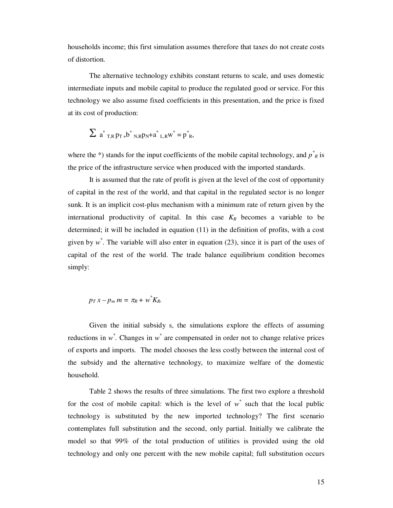households income; this first simulation assumes therefore that taxes do not create costs of distortion.

The alternative technology exhibits constant returns to scale, and uses domestic intermediate inputs and mobile capital to produce the regulated good or service. For this technology we also assume fixed coefficients in this presentation, and the price is fixed at its cost of production:

$$
\sum a^*_{T,R} p_{T} + b^*_{N,R} p_N + a^*_{L,R} w^* = p^*_{R},
$$

where the  $*$ ) stands for the input coefficients of the mobile capital technology, and  $p^*_{R}$  is the price of the infrastructure service when produced with the imported standards.

It is assumed that the rate of profit is given at the level of the cost of opportunity of capital in the rest of the world, and that capital in the regulated sector is no longer sunk. It is an implicit cost-plus mechanism with a minimum rate of return given by the international productivity of capital. In this case  $K_R$  becomes a variable to be determined; it will be included in equation (11) in the definition of profits, with a cost given by  $w^*$ . The variable will also enter in equation (23), since it is part of the uses of capital of the rest of the world. The trade balance equilibrium condition becomes simply:

### $p_T x - p_m m = \pi R + w^* K R$

Given the initial subsidy s, the simulations explore the effects of assuming reductions in  $w^*$ . Changes in  $w^*$  are compensated in order not to change relative prices of exports and imports.The model chooses the less costly between the internal cost of the subsidy and the alternative technology, to maximize welfare of the domestic household.

Table 2 shows the results of three simulations. The first two explore a threshold for the cost of mobile capital: which is the level of  $w^*$  such that the local public technology is substituted by the new imported technology? The first scenario contemplates full substitution and the second, only partial. Initially we calibrate the model so that 99% of the total production of utilities is provided using the old technology and only one percent with the new mobile capital; full substitution occurs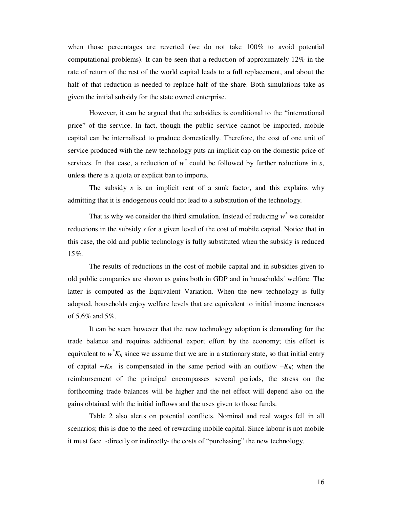when those percentages are reverted (we do not take 100% to avoid potential computational problems). It can be seen that a reduction of approximately 12% in the rate of return of the rest of the world capital leads to a full replacement, and about the half of that reduction is needed to replace half of the share. Both simulations take as given the initial subsidy for the state owned enterprise.

 However, it can be argued that the subsidies is conditional to the "international price" of the service. In fact, though the public service cannot be imported, mobile capital can be internalised to produce domestically. Therefore, the cost of one unit of service produced with the new technology puts an implicit cap on the domestic price of services. In that case, a reduction of  $w^*$  could be followed by further reductions in  $s$ , unless there is a quota or explicit ban to imports.

The subsidy *s* is an implicit rent of a sunk factor, and this explains why admitting that it is endogenous could not lead to a substitution of the technology.

That is why we consider the third simulation. Instead of reducing  $w^*$  we consider reductions in the subsidy *s* for a given level of the cost of mobile capital. Notice that in this case, the old and public technology is fully substituted when the subsidy is reduced 15%.

 The results of reductions in the cost of mobile capital and in subsidies given to old public companies are shown as gains both in GDP and in households´ welfare. The latter is computed as the Equivalent Variation. When the new technology is fully adopted, households enjoy welfare levels that are equivalent to initial income increases of 5.6% and 5%.

 It can be seen however that the new technology adoption is demanding for the trade balance and requires additional export effort by the economy; this effort is equivalent to  $w^*K_R$  since we assume that we are in a stationary state, so that initial entry of capital  $+K_R$  is compensated in the same period with an outflow  $-K_R$ ; when the reimbursement of the principal encompasses several periods, the stress on the forthcoming trade balances will be higher and the net effect will depend also on the gains obtained with the initial inflows and the uses given to those funds.

 Table 2 also alerts on potential conflicts. Nominal and real wages fell in all scenarios; this is due to the need of rewarding mobile capital. Since labour is not mobile it must face -directly or indirectly- the costs of "purchasing" the new technology.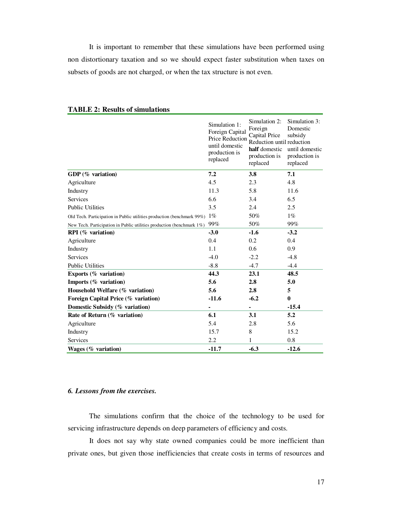It is important to remember that these simulations have been performed using non distortionary taxation and so we should expect faster substitution when taxes on subsets of goods are not charged, or when the tax structure is not even.

|                                                                              | Simulation 1:<br>Foreign Capital<br>Price Reduction<br>until domestic<br>production is<br>replaced | Simulation 2:<br>Foreign<br>Capital Price<br>Reduction until reduction<br>half domestic<br>production is<br>replaced | Simulation 3:<br>Domestic<br>subsidy<br>until domestic<br>production is<br>replaced |
|------------------------------------------------------------------------------|----------------------------------------------------------------------------------------------------|----------------------------------------------------------------------------------------------------------------------|-------------------------------------------------------------------------------------|
| GDP $(\%$ variation)                                                         | 7.2                                                                                                | 3.8                                                                                                                  | 7.1                                                                                 |
| Agriculture                                                                  | 4.5                                                                                                | 2.3                                                                                                                  | 4.8                                                                                 |
| Industry                                                                     | 11.3                                                                                               | 5.8                                                                                                                  | 11.6                                                                                |
| <b>Services</b>                                                              | 6.6                                                                                                | 3.4                                                                                                                  | 6.5                                                                                 |
| <b>Public Utilities</b>                                                      | 3.5                                                                                                | 2.4                                                                                                                  | 2.5                                                                                 |
| Old Tech. Participation in Public utilities production (benchmark 99%) $1\%$ |                                                                                                    | 50%                                                                                                                  | $1\%$                                                                               |
| New Tech. Participation in Public utilities production (benchmark 1%)        | 99%                                                                                                | 50%                                                                                                                  | 99%                                                                                 |
| $RPI$ (% variation)                                                          | $-3.0$                                                                                             | $-1.6$                                                                                                               | $-3.2$                                                                              |
| Agriculture                                                                  | 0.4                                                                                                | 0.2                                                                                                                  | 0.4                                                                                 |
| Industry                                                                     | 1.1                                                                                                | 0.6                                                                                                                  | 0.9                                                                                 |
| <b>Services</b>                                                              | $-4.0$                                                                                             | $-2.2$                                                                                                               | $-4.8$                                                                              |
| <b>Public Utilities</b>                                                      | $-8.8$                                                                                             | $-4.7$                                                                                                               | $-4.4$                                                                              |
| Exports $(\%$ variation)                                                     | 44.3                                                                                               | 23.1                                                                                                                 | 48.5                                                                                |
| Imports $(\%$ variation)                                                     | 5.6                                                                                                | 2.8                                                                                                                  | 5.0                                                                                 |
| Household Welfare (% variation)                                              | 5.6                                                                                                | 2.8                                                                                                                  | 5                                                                                   |
| Foreign Capital Price (% variation)                                          | $-11.6$                                                                                            | $-6.2$                                                                                                               | $\bf{0}$                                                                            |
| Domestic Subsidy (% variation)                                               | -                                                                                                  | $\overline{\phantom{0}}$                                                                                             | $-15.4$                                                                             |
| Rate of Return (% variation)                                                 | 6.1                                                                                                | 3.1                                                                                                                  | 5.2                                                                                 |
| Agriculture                                                                  | 5.4                                                                                                | 2.8                                                                                                                  | 5.6                                                                                 |
| Industry                                                                     | 15.7                                                                                               | 8                                                                                                                    | 15.2                                                                                |
| Services                                                                     | 2.2                                                                                                | 1                                                                                                                    | 0.8                                                                                 |
| Wages $(\%$ variation)                                                       | $-11.7$                                                                                            | $-6.3$                                                                                                               | $-12.6$                                                                             |

#### **TABLE 2: Results of simulations**

#### *6. Lessons from the exercises.*

 The simulations confirm that the choice of the technology to be used for servicing infrastructure depends on deep parameters of efficiency and costs.

It does not say why state owned companies could be more inefficient than private ones, but given those inefficiencies that create costs in terms of resources and